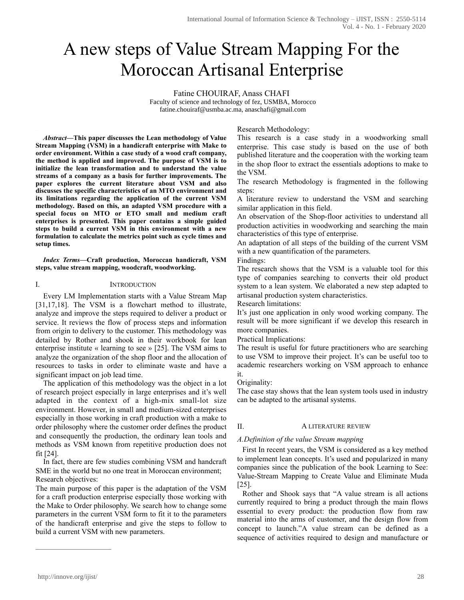# A new steps of Value Stream Mapping For the Moroccan Artisanal Enterprise

Fatine CHOUIRAF, Anass CHAFI

Faculty of science and technology of fez, USMBA, Morocco fatine.chouiraf@usmba.ac.ma, anaschafi@gmail.com

*Abstract***—This paper discusses the Lean methodology of Value Stream Mapping (VSM) in a handicraft enterprise with Make to order environment. Within a case study of a wood craft company, the method is applied and improved. The purpose of VSM is to initialize the lean transformation and to understand the value streams of a company as a basis for further improvements. The paper explores the current literature about VSM and also discusses the specific characteristics of an MTO environment and its limitations regarding the application of the current VSM methodology. Based on this, an adapted VSM procedure with a special focus on MTO or ETO small and medium craft enterprises is presented. This paper contains a simple guided steps to build a current VSM in this environment with a new formulation to calculate the metrics point such as cycle times and setup times.** 

*Index Terms***—Craft production, Moroccan handicraft, VSM steps, value stream mapping, woodcraft, woodworking.** 

## I. INTRODUCTION

 Every LM Implementation starts with a Value Stream Map [31,17,18]. The VSM is a flowchart method to illustrate, analyze and improve the steps required to deliver a product or service. It reviews the flow of process steps and information from origin to delivery to the customer. This methodology was detailed by Rother and shook in their workbook for lean enterprise institute « learning to see » [25]. The VSM aims to analyze the organization of the shop floor and the allocation of resources to tasks in order to eliminate waste and have a significant impact on job lead time.

 The application of this methodology was the object in a lot of research project especially in large enterprises and it's well adapted in the context of a high-mix small-lot size environment. However, in small and medium-sized enterprises especially in those working in craft production with a make to order philosophy where the customer order defines the product and consequently the production, the ordinary lean tools and methods as VSM known from repetitive production does not fit [24].

In fact, there are few studies combining VSM and handcraft SME in the world but no one treat in Moroccan environment; Research objectives:

The main purpose of this paper is the adaptation of the VSM for a craft production enterprise especially those working with the Make to Order philosophy. We search how to change some parameters in the current VSM form to fit it to the parameters of the handicraft enterprise and give the steps to follow to build a current VSM with new parameters.

# Research Methodology:

This research is a case study in a woodworking small enterprise. This case study is based on the use of both published literature and the cooperation with the working team in the shop floor to extract the essentials adoptions to make to the VSM.

The research Methodology is fragmented in the following steps:

A literature review to understand the VSM and searching similar application in this field.

An observation of the Shop-floor activities to understand all production activities in woodworking and searching the main characteristics of this type of enterprise.

An adaptation of all steps of the building of the current VSM with a new quantification of the parameters.

Findings:

The research shows that the VSM is a valuable tool for this type of companies searching to converts their old product system to a lean system. We elaborated a new step adapted to artisanal production system characteristics.

Research limitations:

It's just one application in only wood working company. The result will be more significant if we develop this research in more companies.

Practical Implications:

The result is useful for future practitioners who are searching to use VSM to improve their project. It's can be useful too to academic researchers working on VSM approach to enhance it.

## Originality:

The case stay shows that the lean system tools used in industry can be adapted to the artisanal systems.

## II. A LITERATURE REVIEW

## *A.Definition of the value Stream mapping*

First In recent years, the VSM is considered as a key method to implement lean concepts. It's used and popularized in many companies since the publication of the book Learning to See: Value-Stream Mapping to Create Value and Eliminate Muda [25].

Rother and Shook says that "A value stream is all actions currently required to bring a product through the main flows essential to every product: the production flow from raw material into the arms of customer, and the design flow from concept to launch."A value stream can be defined as a sequence of activities required to design and manufacture or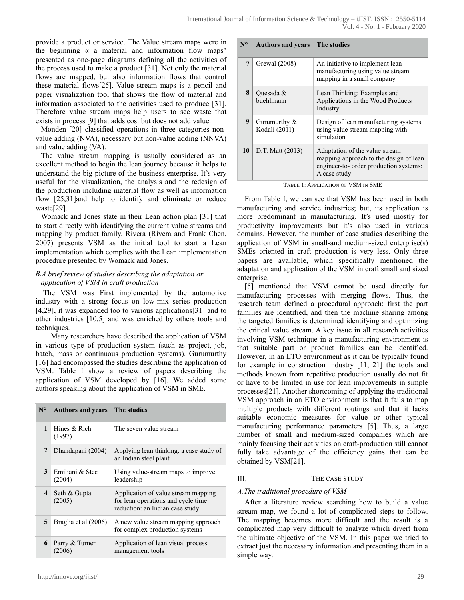provide a product or service. The Value stream maps were in the beginning « a material and information flow maps" presented as one-page diagrams defining all the activities of the process used to make a product [31]. Not only the material flows are mapped, but also information flows that control these material flows[25]. Value stream maps is a pencil and paper visualization tool that shows the flow of material and information associated to the activities used to produce [31]. Therefore value stream maps help users to see waste that exists in process [9] that adds cost but does not add value.

Monden [20] classified operations in three categories nonvalue adding (NVA), necessary but non-value adding (NNVA) and value adding (VA).

The value stream mapping is usually considered as an excellent method to begin the lean journey because it helps to understand the big picture of the business enterprise. It's very useful for the visualization, the analysis and the redesign of the production including material flow as well as information flow [25,31]and help to identify and eliminate or reduce waste[29].

Womack and Jones state in their Lean action plan [31] that to start directly with identifying the current value streams and mapping by product family. Rivera (Rivera and Frank Chen, 2007) presents VSM as the initial tool to start a Lean implementation which complies with the Lean implementation procedure presented by Womack and Jones.

# *B.A brief review of studies describing the adaptation or application of VSM in craft production*

The VSM was First implemented by the automotive industry with a strong focus on low-mix series production [4,29], it was expanded too to various applications[31] and to other industries [10,5] and was enriched by others tools and techniques.

 Many researchers have described the application of VSM in various type of production system (such as project, job, batch, mass or continuous production systems). Gurumurthy [16] had encompassed the studies describing the application of VSM. Table I show a review of papers describing the application of VSM developed by [16]. We added some authors speaking about the application of VSM in SME.

| $N^{\circ}$ | <b>Authors and years</b> The studies |                                                                                                              |
|-------------|--------------------------------------|--------------------------------------------------------------------------------------------------------------|
| 1           | Hines & Rich<br>(1997)               | The seven value stream                                                                                       |
| 2           | Dhandapani (2004)                    | Applying lean thinking: a case study of<br>an Indian steel plant                                             |
| 3           | Emiliani & Stec<br>(2004)            | Using value-stream maps to improve<br>leadership                                                             |
| 4           | Seth & Gupta<br>(2005)               | Application of value stream mapping<br>for lean operations and cycle time<br>reduction: an Indian case study |
| 5           | Braglia et al (2006)                 | A new value stream mapping approach<br>for complex production systems                                        |
| 6           | Parry & Turner<br>(2006)             | Application of lean visual process<br>management tools                                                       |

#### **N° Authors and years The studies**

| 7  | Grewal (2008)                    | An initiative to implement lean<br>manufacturing using value stream<br>mapping in a small company                                  |
|----|----------------------------------|------------------------------------------------------------------------------------------------------------------------------------|
| 8  | Quesada &<br>buehlmann           | Lean Thinking: Examples and<br>Applications in the Wood Products<br>Industry                                                       |
| 9  | Gurumurthy $\&$<br>Kodali (2011) | Design of lean manufacturing systems<br>using value stream mapping with<br>simulation                                              |
| 10 | D.T. Matt (2013)                 | Adaptation of the value stream<br>mapping approach to the design of lean<br>engineer-to- order production systems:<br>A case study |

TABLE 1: APPLICATION OF VSM IN SME

From Table I, we can see that VSM has been used in both manufacturing and service industries; but, its application is more predominant in manufacturing. It's used mostly for productivity improvements but it's also used in various domains. However, the number of case studies describing the application of VSM in small-and medium-sized enterprise(s) SMEs oriented in craft production is very less. Only three papers are available, which specifically mentioned the adaptation and application of the VSM in craft small and sized enterprise.

[5] mentioned that VSM cannot be used directly for manufacturing processes with merging flows. Thus, the research team defined a procedural approach: first the part families are identified, and then the machine sharing among the targeted families is determined identifying and optimizing the critical value stream. A key issue in all research activities involving VSM technique in a manufacturing environment is that suitable part or product families can be identified. However, in an ETO environment as it can be typically found for example in construction industry [11, 21] the tools and methods known from repetitive production usually do not fit or have to be limited in use for lean improvements in simple processes[21]. Another shortcoming of applying the traditional VSM approach in an ETO environment is that it fails to map multiple products with different routings and that it lacks suitable economic measures for value or other typical manufacturing performance parameters [5]. Thus, a large number of small and medium-sized companies which are mainly focusing their activities on craft-production still cannot fully take advantage of the efficiency gains that can be obtained by VSM[21].

# III. THE CASE STUDY

# *A.The traditional procedure of VSM*

After a literature review searching how to build a value stream map, we found a lot of complicated steps to follow. The mapping becomes more difficult and the result is a complicated map very difficult to analyze which divert from the ultimate objective of the VSM. In this paper we tried to extract just the necessary information and presenting them in a simple way.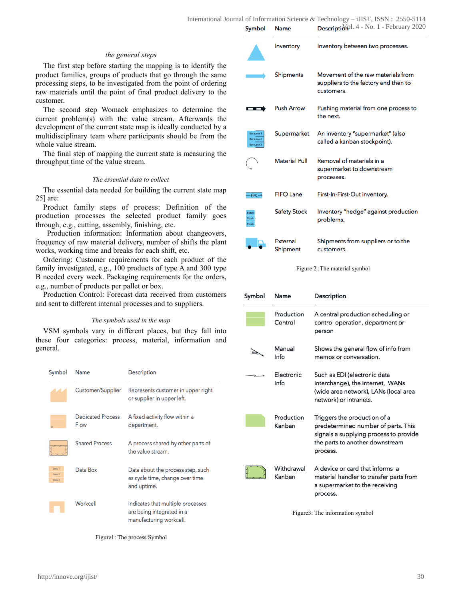#### *the general steps*

The first step before starting the mapping is to identify the product families, groups of products that go through the same processing steps, to be investigated from the point of ordering raw materials until the point of final product delivery to the customer.

The second step Womack emphasizes to determine the current problem(s) with the value stream. Afterwards the development of the current state map is ideally conducted by a multidisciplinary team where participants should be from the whole value stream.

The final step of mapping the current state is measuring the throughput time of the value stream.

#### *The essential data to collect*

The essential data needed for building the current state map 25] are:

Product family steps of process: Definition of the production processes the selected product family goes through, e.g., cutting, assembly, finishing, etc.

 Production information: Information about changeovers, frequency of raw material delivery, number of shifts the plant works, working time and breaks for each shift, etc.

Ordering: Customer requirements for each product of the family investigated, e.g., 100 products of type A and 300 type B needed every week. Packaging requirements for the orders, e.g., number of products per pallet or box.

Production Control: Forecast data received from customers and sent to different internal processes and to suppliers.

#### *The symbols used in the map*

VSM symbols vary in different places, but they fall into these four categories: process, material, information and general.

| Symbol                     | Name                      | <b>Description</b>                                                                        |
|----------------------------|---------------------------|-------------------------------------------------------------------------------------------|
|                            | Customer/Supplier         | Represents customer in upper right<br>or supplier in upper left.                          |
|                            | Dedicated Process<br>Flow | A fixed activity flow within a<br>department.                                             |
|                            | <b>Shared Process</b>     | A process shared by other parts of<br>the value stream.                                   |
| Data 1<br>Data 2<br>Data 3 | Data Box                  | Data about the process step, such<br>as cycle time, change over time<br>and uptime.       |
|                            | Workcell                  | Indicates that multiple processes<br>are being integrated in a<br>manufacturing workcell. |

Inventory Inventory between two processes. Movement of the raw materials from **Shipments** suppliers to the factory and then to customers. **Push Arrow** Pushing material from one process to the next. An inventory "supermarket" (also Supermarket called a kanban stockpoint). **Material Pull** Removal of materials in a supermarket to downstream processes. **FIFO Lane** First-In-First-Out inventory.  $-$  FIFO $\rightarrow$ Inventory "hedge" against production **Safety Stock** problems.

#### Figure 2 :The material symbol

customers.

Shipments from suppliers or to the

External

Shipment

| Symbol | Name                  | Description                                                                                                                                                  |
|--------|-----------------------|--------------------------------------------------------------------------------------------------------------------------------------------------------------|
|        | Production<br>Control | A central production scheduling or<br>control operation, department or<br>person                                                                             |
| Daily. | Manual<br>Info        | Shows the general flow of info from<br>memos or conversation.                                                                                                |
|        | Electronic<br>Info    | Such as EDI (electronic data<br>interchange), the internet, WANs<br>(wide area network), LANs (local area<br>network) or intranets.                          |
|        | Production<br>Kanhan  | Triggers the production of a<br>predetermined number of parts. This<br>signals a supplying process to provide<br>the parts to another downstream<br>process. |
|        | Withdrawal<br>Kanban  | A device or card that informs a<br>material handler to transfer parts from<br>a supermarket to the receiving<br>process.                                     |

Figure3: The information symbol

Figure1: The process Symbol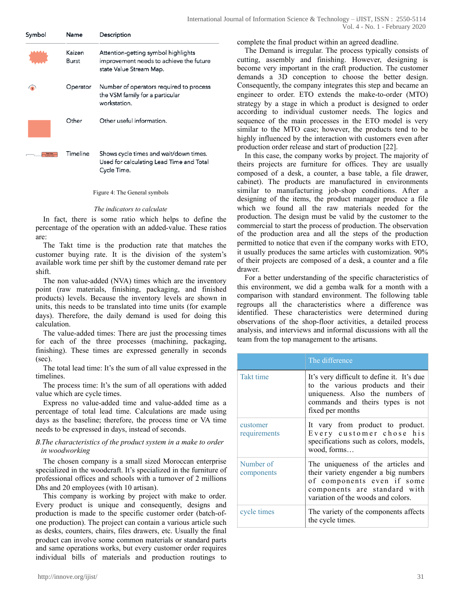| Symbol | Name            | Description                                                                                               |
|--------|-----------------|-----------------------------------------------------------------------------------------------------------|
|        | Kaizen<br>Burst | Attention-getting symbol highlights<br>improvement needs to achieve the future<br>state Value Stream Map. |
|        | Operator        | Number of operators required to process<br>the VSM family for a particular<br>workstation.                |
|        | Other           | Other useful information.                                                                                 |
|        | Timeline        | Shows cycle times and wait/down times.<br>Used for calculating Lead Time and Total<br>Cycle Time.         |

Figure 4: The General symbols

#### *The indicators to calculate*

In fact, there is some ratio which helps to define the percentage of the operation with an added-value. These ratios are:

The Takt time is the production rate that matches the customer buying rate. It is the division of the system's available work time per shift by the customer demand rate per shift.

The non value-added (NVA) times which are the inventory point (raw materials, finishing, packaging, and finished products) levels. Because the inventory levels are shown in units, this needs to be translated into time units (for example days). Therefore, the daily demand is used for doing this calculation.

The value-added times: There are just the processing times for each of the three processes (machining, packaging, finishing). These times are expressed generally in seconds (sec).

The total lead time: It's the sum of all value expressed in the timelines.

The process time: It's the sum of all operations with added value which are cycle times.

Express no value-added time and value-added time as a percentage of total lead time. Calculations are made using days as the baseline; therefore, the process time or VA time needs to be expressed in days, instead of seconds.

## *B.The characteristics of the product system in a make to order in woodworking*

The chosen company is a small sized Moroccan enterprise specialized in the woodcraft. It's specialized in the furniture of professional offices and schools with a turnover of 2 millions Dhs and 20 employees (with 10 artisan).

This company is working by project with make to order. Every product is unique and consequently, designs and production is made to the specific customer order (batch-ofone production). The project can contain a various article such as desks, counters, chairs, files drawers, etc. Usually the final product can involve some common materials or standard parts and same operations works, but every customer order requires individual bills of materials and production routings to complete the final product within an agreed deadline.

The Demand is irregular. The process typically consists of cutting, assembly and finishing. However, designing is become very important in the craft production. The customer demands a 3D conception to choose the better design. Consequently, the company integrates this step and became an engineer to order. ETO extends the make-to-order (MTO) strategy by a stage in which a product is designed to order according to individual customer needs. The logics and sequence of the main processes in the ETO model is very similar to the MTO case; however, the products tend to be highly influenced by the interaction with customers even after production order release and start of production [22].

In this case, the company works by project. The majority of theirs projects are furniture for offices. They are usually composed of a desk, a counter, a base table, a file drawer, cabinet). The products are manufactured in environments similar to manufacturing job-shop conditions. After a designing of the items, the product manager produce a file which we found all the raw materials needed for the production. The design must be valid by the customer to the commercial to start the process of production. The observation of the production area and all the steps of the production permitted to notice that even if the company works with ETO, it usually produces the same articles with customization. 90% of their projects are composed of a desk, a counter and a file drawer.

For a better understanding of the specific characteristics of this environment, we did a gemba walk for a month with a comparison with standard environment. The following table regroups all the characteristics where a difference was identified. These characteristics were determined during observations of the shop-floor activities, a detailed process analysis, and interviews and informal discussions with all the team from the top management to the artisans.

|                          | The difference                                                                                                                                                                 |
|--------------------------|--------------------------------------------------------------------------------------------------------------------------------------------------------------------------------|
| <b>Takt time</b>         | It's very difficult to define it. It's due<br>to the various products and their<br>uniqueness. Also the numbers of<br>commands and theirs types is not<br>fixed per months     |
| customer<br>requirements | It vary from product to product.<br>Every customer chose his<br>specifications such as colors, models,<br>wood, forms                                                          |
| Number of<br>components  | The uniqueness of the articles and<br>their variety engender a big numbers<br>of components even if some<br>components are standard with<br>variation of the woods and colors. |
| cycle times              | The variety of the components affects<br>the cycle times.                                                                                                                      |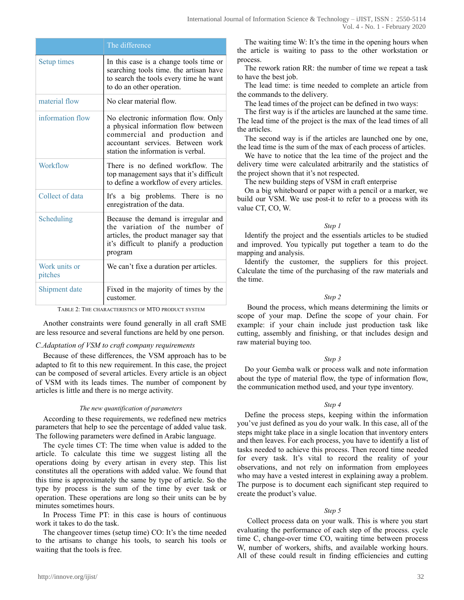|                          | The difference                                                                                                                                                                          |
|--------------------------|-----------------------------------------------------------------------------------------------------------------------------------------------------------------------------------------|
| Setup times              | In this case is a change tools time or<br>searching tools time, the artisan have<br>to search the tools every time he want<br>to do an other operation.                                 |
| material flow            | No clear material flow.                                                                                                                                                                 |
| information flow         | No electronic information flow. Only<br>a physical information flow between<br>commercial and production and<br>accountant services. Between work<br>station the information is verbal. |
| Workflow                 | There is no defined workflow. The<br>top management says that it's difficult<br>to define a workflow of every articles.                                                                 |
| Collect of data          | It's a big problems. There is no<br>enregistration of the data.                                                                                                                         |
| Scheduling               | Because the demand is irregular and<br>the variation of the number of<br>articles, the product manager say that<br>it's difficult to planify a production<br>program                    |
| Work units or<br>pitches | We can't fixe a duration per articles.                                                                                                                                                  |
| Shipment date            | Fixed in the majority of times by the<br>customer.                                                                                                                                      |

TABLE 2: THE CHARACTERISTICS OF MTO PRODUCT SYSTEM

Another constraints were found generally in all craft SME are less resource and several functions are held by one person.

#### *C.Adaptation of VSM to craft company requirements*

Because of these differences, the VSM approach has to be adapted to fit to this new requirement. In this case, the project can be composed of several articles. Every article is an object of VSM with its leads times. The number of component by articles is little and there is no merge activity.

#### *The new quantification of parameters*

According to these requirements, we redefined new metrics parameters that help to see the percentage of added value task. The following parameters were defined in Arabic language.

The cycle times CT: The time when value is added to the article. To calculate this time we suggest listing all the operations doing by every artisan in every step. This list constitutes all the operations with added value. We found that this time is approximately the same by type of article. So the type by process is the sum of the time by ever task or operation. These operations are long so their units can be by minutes sometimes hours.

In Process Time PT: in this case is hours of continuous work it takes to do the task.

The changeover times (setup time) CO: It's the time needed to the artisans to change his tools, to search his tools or waiting that the tools is free.

The waiting time W: It's the time in the opening hours when the article is waiting to pass to the other workstation or process.

The rework ration RR: the number of time we repeat a task to have the best job.

The lead time: is time needed to complete an article from the commands to the delivery.

The lead times of the project can be defined in two ways:

The first way is if the articles are launched at the same time. The lead time of the project is the max of the lead times of all the articles.

The second way is if the articles are launched one by one, the lead time is the sum of the max of each process of articles.

We have to notice that the lea time of the project and the delivery time were calculated arbitrarily and the statistics of the project shown that it's not respected.

The new building steps of VSM in craft enterprise

On a big whiteboard or paper with a pencil or a marker, we build our VSM. We use post-it to refer to a process with its value CT, CO, W.

#### *Step 1*

Identify the project and the essentials articles to be studied and improved. You typically put together a team to do the mapping and analysis.

Identify the customer, the suppliers for this project. Calculate the time of the purchasing of the raw materials and the time.

#### *Step 2*

 Bound the process, which means determining the limits or scope of your map. Define the scope of your chain. For example: if your chain include just production task like cutting, assembly and finishing, or that includes design and raw material buying too.

#### *Step 3*

Do your Gemba walk or process walk and note information about the type of material flow, the type of information flow, the communication method used, and your type inventory.

#### *Step 4*

Define the process steps, keeping within the information you've just defined as you do your walk. In this case, all of the steps might take place in a single location that inventory enters and then leaves. For each process, you have to identify a list of tasks needed to achieve this process. Then record time needed for every task. It's vital to record the reality of your observations, and not rely on information from employees who may have a vested interest in explaining away a problem. The purpose is to document each significant step required to create the product's value.

#### *Step 5*

 Collect process data on your walk. This is where you start evaluating the performance of each step of the process. cycle time C, change-over time CO, waiting time between process W, number of workers, shifts, and available working hours. All of these could result in finding efficiencies and cutting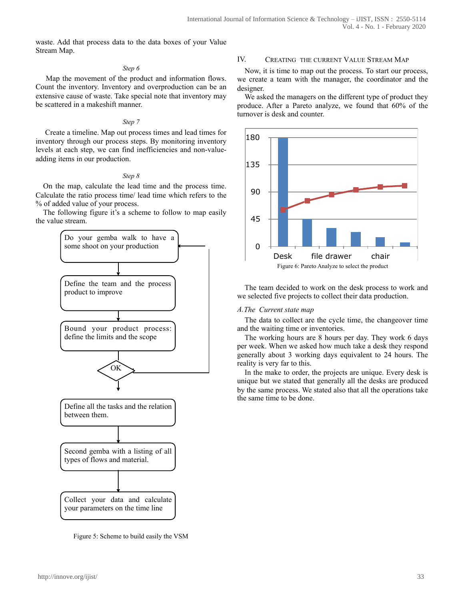waste. Add that process data to the data boxes of your Value Stream Map.

## *Step 6*

 Map the movement of the product and information flows. Count the inventory. Inventory and overproduction can be an extensive cause of waste. Take special note that inventory may be scattered in a makeshift manner.

## *Step 7*

 Create a timeline. Map out process times and lead times for inventory through our process steps. By monitoring inventory levels at each step, we can find inefficiencies and non-valueadding items in our production.

## *Step 8*

On the map, calculate the lead time and the process time. Calculate the ratio process time/ lead time which refers to the % of added value of your process.

The following figure it's a scheme to follow to map easily the value stream.



Figure 5: Scheme to build easily the VSM

# IV. CREATING THE CURRENT VALUE STREAM MAP

Now, it is time to map out the process. To start our process, we create a team with the manager, the coordinator and the designer.

We asked the managers on the different type of product they produce. After a Pareto analyze, we found that 60% of the turnover is desk and counter.



The team decided to work on the desk process to work and we selected five projects to collect their data production.

## *A.The Current state map*

The data to collect are the cycle time, the changeover time and the waiting time or inventories.

The working hours are 8 hours per day. They work 6 days per week. When we asked how much take a desk they respond generally about 3 working days equivalent to 24 hours. The reality is very far to this.

In the make to order, the projects are unique. Every desk is unique but we stated that generally all the desks are produced by the same process. We stated also that all the operations take the same time to be done.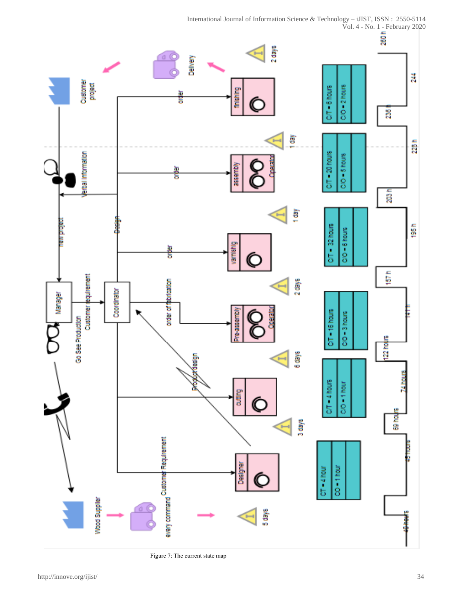

Figure 7: The current state map

 International Journal of Information Science & Technology – iJIST, ISSN : 2550-5114 Vol. 4 - No. 1 - February 2020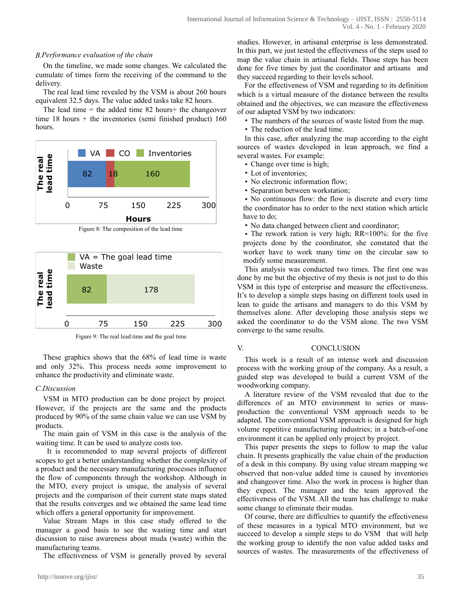#### *B.Performance evaluation of the chain*

On the timeline, we made some changes. We calculated the cumulate of times form the receiving of the command to the delivery.

The real lead time revealed by the VSM is about 260 hours equivalent 32.5 days. The value added tasks take 82 hours.

The lead time  $=$  the added time 82 hours+ the changeover time  $18$  hours + the inventories (semi-finished product)  $160$ hours.



Figure 8: The composition of the lead time



Figure 9: The real lead time and the goal time

These graphics shows that the 68% of lead time is waste and only 32%. This process needs some improvement to enhance the productivity and eliminate waste.

# *C.Discussion*

VSM in MTO production can be done project by project. However, if the projects are the same and the products produced by 90% of the same chain value we can use VSM by products.

The main gain of VSM in this case is the analysis of the waiting time. It can be used to analyze costs too.

 It is recommended to map several projects of different scopes to get a better understanding whether the complexity of a product and the necessary manufacturing processes influence the flow of components through the workshop. Although in the MTO, every project is unique, the analysis of several projects and the comparison of their current state maps stated that the results converges and we obtained the same lead time which offers a general opportunity for improvement.

Value Stream Maps in this case study offered to the manager a good basis to see the wasting time and start discussion to raise awareness about muda (waste) within the manufacturing teams.

The effectiveness of VSM is generally proved by several

studies. However, in artisanal enterprise is less demonstrated. In this part, we just tested the effectiveness of the steps used to map the value chain in artisanal fields. Those steps has been done for five times by just the coordinator and artisans and they succeed regarding to their levels school.

For the effectiveness of VSM and regarding to its definition which is a virtual measure of the distance between the results obtained and the objectives, we can measure the effectiveness of our adapted VSM by two indicators:

- The numbers of the sources of waste listed from the map.
- The reduction of the lead time.

In this case, after analyzing the map according to the eight sources of wastes developed in lean approach, we find a several wastes. For example:

- Change over time is high;
- Lot of inventories;
- No electronic information flow;
- Separation between workstation;

• No continuous flow: the flow is discrete and every time the coordinator has to order to the next station which article have to do;

• No data changed between client and coordinator;

• The rework ration is very high; RR=100%: for the five projects done by the coordinator, she constated that the worker have to work many time on the circular saw to modify some measurement.

This analysis was conducted two times. The first one was done by me but the objective of my thesis is not just to do this VSM in this type of enterprise and measure the effectiveness. It's to develop a simple steps basing on different tools used in lean to guide the artisans and managers to do this VSM by themselves alone. After developing those analysis steps we asked the coordinator to do the VSM alone. The two VSM converge to the same results.

## V. CONCLUSION

This work is a result of an intense work and discussion process with the working group of the company. As a result, a guided step was developed to build a current VSM of the woodworking company.

A literature review of the VSM revealed that due to the differences of an MTO environment to series or massproduction the conventional VSM approach needs to be adapted. The conventional VSM approach is designed for high volume repetitive manufacturing industries; in a batch-of-one environment it can be applied only project by project.

This paper presents the steps to follow to map the value chain. It presents graphically the value chain of the production of a desk in this company. By using value stream mapping we observed that non-value added time is caused by inventories and changeover time. Also the work in process is higher than they expect. The manager and the team approved the effectiveness of the VSM. All the team has challenge to make some change to eliminate their mudas.

Of course, there are difficulties to quantify the effectiveness of these measures in a typical MTO environment, but we succeed to develop a simple steps to do VSM that will help the working group to identify the non value added tasks and sources of wastes. The measurements of the effectiveness of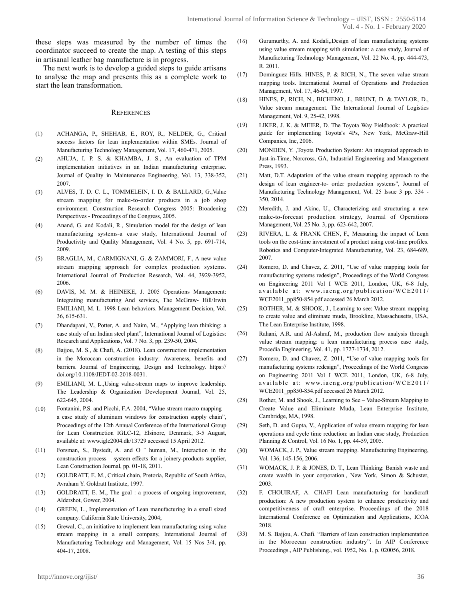these steps was measured by the number of times the coordinator succeed to create the map. A testing of this steps in artisanal leather bag manufacture is in progress.

The next work is to develop a guided steps to guide artisans to analyse the map and presents this as a complete work to start the lean transformation.

#### **REFERENCES**

- (1) ACHANGA, P., SHEHAB, E., ROY, R., NELDER, G., Critical success factors for lean implementation within SMEs. Journal of Manufacturing Technology Management, Vol. 17, 460-471, 2005.
- (2) AHUJA, I. P. S. & KHAMBA, J. S., An evaluation of TPM implementation initiatives in an Indian manufacturing enterprise. Journal of Quality in Maintenance Engineering, Vol. 13, 338-352, 2007.
- (3) ALVES, T. D. C. L., TOMMELEIN, I. D. & BALLARD, G.,Value stream mapping for make-to-order products in a job shop environment. Construction Research Congress 2005: Broadening Perspectives - Proceedings of the Congress, 2005.
- (4) Anand, G. and Kodali, R., Simulation model for the design of lean manufacturing systems-a case study, International Journal of Productivity and Quality Management, Vol. 4 No. 5, pp. 691-714, 2009.
- (5) BRAGLIA, M., CARMIGNANI, G. & ZAMMORI, F., A new value stream mapping approach for complex production systems. International Journal of Production Research, Vol. 44, 3929-3952, 2006.
- (6) DAVIS, M. M. & HEINEKE, J. 2005 Operations Management: Integrating manufacturing And services, The McGraw- Hill/Irwin EMILIANI, M. L. 1998 Lean behaviors. Management Decision, Vol. 36, 615-631.
- (7) Dhandapani, V., Potter, A. and Naim, M., "Applying lean thinking: a case study of an Indian steel plant", International Journal of Logistics: Research and Applications, Vol. 7 No. 3, pp. 239-50, 2004.
- (8) Bajjou, M. S., & Chafi, A. (2018). Lean construction implementation in the Moroccan construction industry: Awareness, benefits and barriers. Journal of Engineering, Design and Technology. https:// doi.org/10.1108/JEDT-02-2018-0031.
- (9) EMILIANI, M. L.,Using value-stream maps to improve leadership. The Leadership & Organization Development Journal, Vol. 25, 622-645, 2004.
- (10) Fontanini, P.S. and Picchi, F.A. 2004, "Value stream macro mapping a case study of aluminum windows for construction supply chain", Proceedings of the 12th Annual Conference of the International Group for Lean Construction IGLC-12, Elsinore, Denmark, 3-5 August, available at: www.iglc2004.dk/13729 accessed 15 April 2012.
- (11) Forsman, S., Bystedt, A. and O ¨ human, M., Interaction in the construction process – system effects for a joinery-products supplier, Lean Construction Journal, pp. 01-18, 2011.
- (12) GOLDRATT, E. M., Critical chain, Pretoria, Republic of South Africa, Avraham Y. Goldratt Institute, 1997.
- (13) GOLDRATT, E. M., The goal : a process of ongoing improvement, Aldershot, Gower, 2004.
- (14) GREEN, L., Implementation of Lean manufacturing in a small sized company. California State University, 2004;
- (15) Grewal, C., an initiative to implement lean manufacturing using value stream mapping in a small company, International Journal of Manufacturing Technology and Management, Vol. 15 Nos 3/4, pp. 404-17, 2008.
- (16) Gurumurthy, A. and Kodali,,Design of lean manufacturing systems using value stream mapping with simulation: a case study, Journal of Manufacturing Technology Management, Vol. 22 No. 4, pp. 444-473, R. 2011.
- (17) Dominguez Hills. HINES, P. & RICH, N., The seven value stream mapping tools. International Journal of Operations and Production Management, Vol. 17, 46-64, 1997.
- (18) HINES, P., RICH, N., BICHENO, J., BRUNT, D. & TAYLOR, D., Value stream management. The International Journal of Logistics Management, Vol. 9, 25-42, 1998.
- (19) LIKER, J. K. & MEIER, D. The Toyota Way Fieldbook: A practical guide for implementing Toyota's 4Ps, New York, McGraw-Hill Companies, Inc, 2006.
- (20) MONDEN, Y. ,Toyota Production System: An integrated approach to Just-in-Time, Norcross, GA, Industrial Engineering and Management Press, 1993.
- (21) Matt, D.T. Adaptation of the value stream mapping approach to the design of lean engineer-to- order production systems", Journal of Manufacturing Technology Management, Vol. 25 Issue 3 pp. 334 - 350, 2014.
- (22) Meredith, J. and Akinc, U., Characterizing and structuring a new make-to-forecast production strategy, Journal of Operations Management, Vol. 25 No. 3, pp. 623-642, 2007.
- (23) RIVERA, L. & FRANK CHEN, F., Measuring the impact of Lean tools on the cost-time investment of a product using cost-time profiles. Robotics and Computer-Integrated Manufacturing, Vol. 23, 684-689, 2007.
- (24) Romero, D. and Chavez, Z. 2011, "Use of value mapping tools for manufacturing systems redesign", Proceedings of the World Congress on Engineering 2011 Vol I WCE 2011, London, UK, 6-8 July, available at: www.iaeng.org/publication/WCE2011/ WCE2011\_pp850-854.pdf accessed 26 March 2012.
- (25) ROTHER, M. & SHOOK, J., Learning to see: Value stream mapping to create value and eliminate muda, Brookline, Massachusetts, USA, The Lean Enterprise Institute, 1998.
- (26) Rahani, A.R. and Al-Ashraf, M., production flow analysis through value stream mapping: a lean manufacturing process case study, Procedia Engineering, Vol. 41, pp. 1727-1734, 2012.
- (27) Romero, D. and Chavez, Z. 2011, "Use of value mapping tools for manufacturing systems redesign", Proceedings of the World Congress on Engineering 2011 Vol I WCE 2011, London, UK, 6-8 July, available at: www.iaeng.org/publication/WCE2011/ WCE2011\_pp850-854.pdf accessed 26 March 2012.
- (28) Rother, M. and Shook, J., Learning to See Value-Stream Mapping to Create Value and Eliminate Muda, Lean Enterprise Institute, Cambridge, MA, 1998.
- (29) Seth, D. and Gupta, V., Application of value stream mapping for lean operations and cycle time reduction: an Indian case study, Production Planning & Control, Vol. 16 No. 1, pp. 44-59, 2005.
- (30) WOMACK, J. P., Value stream mapping. Manufacturing Engineering, Vol. 136, 145-156, 2006.
- (31) WOMACK, J. P. & JONES, D. T., Lean Thinking: Banish waste and create wealth in your corporation., New York, Simon & Schuster, 2003.
- (32) F. CHOUIRAF, A. CHAFI Lean manufacturing for handicraft production: A new production system to enhance productivity and competitiveness of craft enterprise. Proceedings of the 2018 International Conference on Optimization and Applications, ICOA 2018.
- (33) M. S. Bajjou, A. Chafi. "Barriers of lean construction implementation in the Moroccan construction industry". In AIP Conference Proceedings., AIP Publishing., vol. 1952, No. 1, p. 020056, 2018.